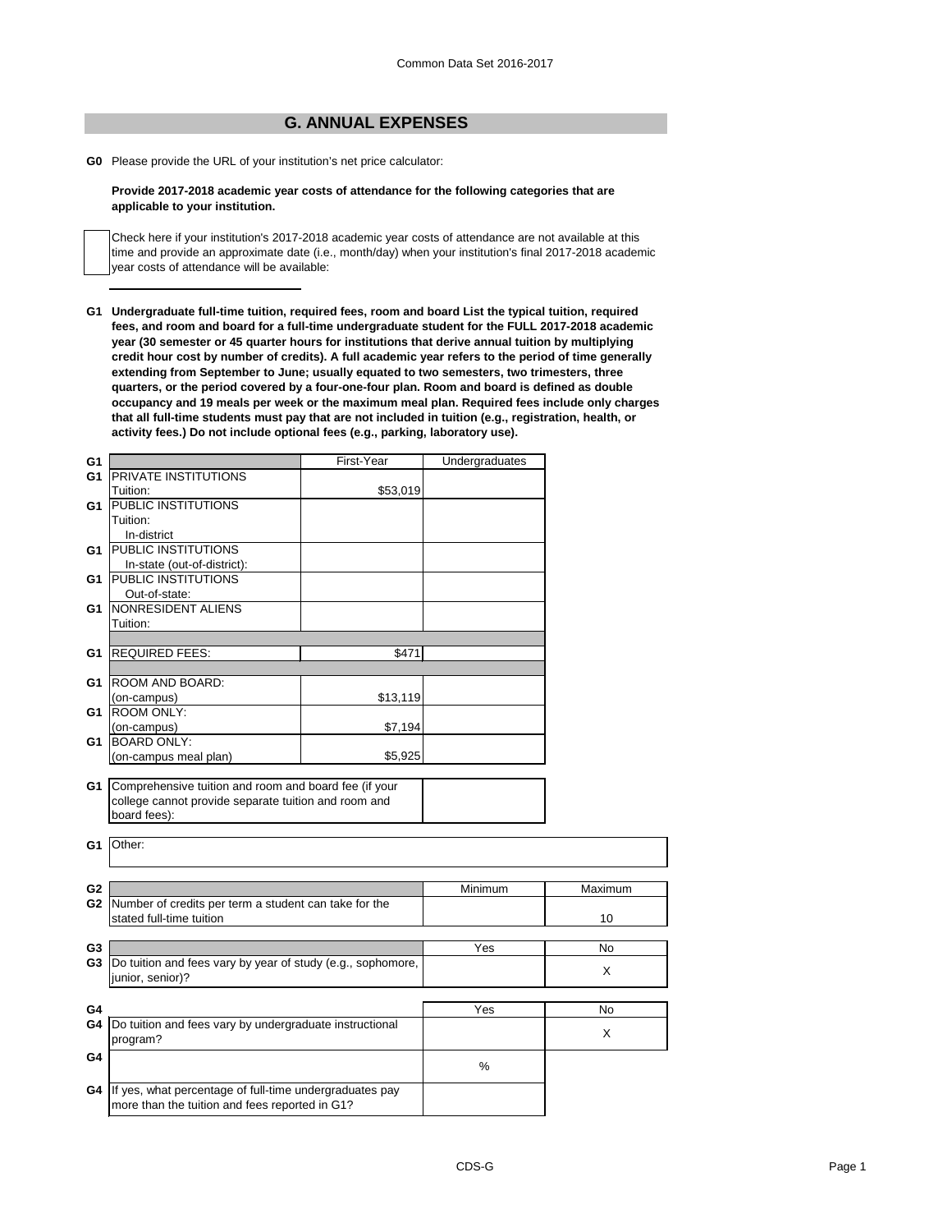## **G. ANNUAL EXPENSES**

**G0** Please provide the URL of your institution's net price calculator:

## **Provide 2017-2018 academic year costs of attendance for the following categories that are applicable to your institution.**

Check here if your institution's 2017-2018 academic year costs of attendance are not available at this time and provide an approximate date (i.e., month/day) when your institution's final 2017-2018 academic year costs of attendance will be available:

**G1 Undergraduate full-time tuition, required fees, room and board List the typical tuition, required fees, and room and board for a full-time undergraduate student for the FULL 2017-2018 academic year (30 semester or 45 quarter hours for institutions that derive annual tuition by multiplying credit hour cost by number of credits). A full academic year refers to the period of time generally extending from September to June; usually equated to two semesters, two trimesters, three quarters, or the period covered by a four-one-four plan. Room and board is defined as double occupancy and 19 meals per week or the maximum meal plan. Required fees include only charges that all full-time students must pay that are not included in tuition (e.g., registration, health, or activity fees.) Do not include optional fees (e.g., parking, laboratory use).**

| G <sub>1</sub> |                                                             | First-Year | Undergraduates |           |
|----------------|-------------------------------------------------------------|------------|----------------|-----------|
| G <sub>1</sub> | PRIVATE INSTITUTIONS                                        |            |                |           |
|                | Tuition:                                                    | \$53,019   |                |           |
| G1             | <b>PUBLIC INSTITUTIONS</b>                                  |            |                |           |
|                | Tuition:                                                    |            |                |           |
|                | In-district                                                 |            |                |           |
| G1             | <b>PUBLIC INSTITUTIONS</b>                                  |            |                |           |
|                | In-state (out-of-district):                                 |            |                |           |
| G1             | PUBLIC INSTITUTIONS                                         |            |                |           |
|                | Out-of-state:                                               |            |                |           |
| G1             | NONRESIDENT ALIENS                                          |            |                |           |
|                | Tuition:                                                    |            |                |           |
|                |                                                             |            |                |           |
| G <sub>1</sub> | <b>REQUIRED FEES:</b>                                       | \$471      |                |           |
|                |                                                             |            |                |           |
| G <sub>1</sub> | ROOM AND BOARD:                                             |            |                |           |
|                | (on-campus)                                                 | \$13,119   |                |           |
| G1             | <b>ROOM ONLY:</b>                                           |            |                |           |
|                | (on-campus)                                                 | \$7,194    |                |           |
| G <sub>1</sub> | <b>BOARD ONLY:</b>                                          |            |                |           |
|                | (on-campus meal plan)                                       | \$5,925    |                |           |
|                |                                                             |            |                |           |
| G1             | Comprehensive tuition and room and board fee (if your       |            |                |           |
|                | college cannot provide separate tuition and room and        |            |                |           |
|                | board fees):                                                |            |                |           |
|                |                                                             |            |                |           |
| G <sub>1</sub> | Other:                                                      |            |                |           |
|                |                                                             |            |                |           |
|                |                                                             |            |                |           |
| G <sub>2</sub> |                                                             |            | Minimum        | Maximum   |
| G <sub>2</sub> | Number of credits per term a student can take for the       |            |                |           |
|                | stated full-time tuition                                    |            |                | 10        |
|                |                                                             |            |                |           |
| G <sub>3</sub> |                                                             |            | Yes            | <b>No</b> |
| G <sub>3</sub> | Do tuition and fees vary by year of study (e.g., sophomore, |            |                |           |
|                | junior, senior)?                                            |            |                | X         |
|                |                                                             |            |                |           |
| G4             |                                                             |            | Yes            | No        |
| G4             | Do tuition and fees vary by undergraduate instructional     |            |                |           |
|                | program?                                                    |            |                | X         |
| G4             |                                                             |            |                |           |
|                |                                                             |            | $\%$           |           |
|                |                                                             |            |                |           |
| G4             | If yes, what percentage of full-time undergraduates pay     |            |                |           |
|                | more than the tuition and fees reported in G1?              |            |                |           |